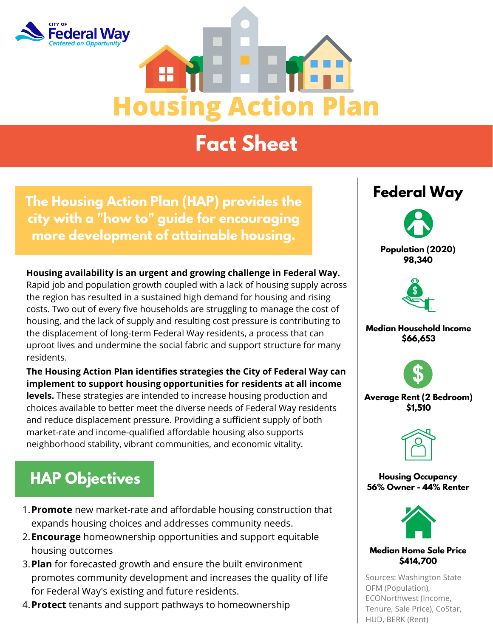



# **Fact Sheet**

**The Housing Action Plan (HAP) provides the city with a "how to" guide for encouraging more development of attainable housing.**

**Housing availability is an urgent and growing challenge in Federal Way.** Rapid job and population growth coupled with a lack of housing supply across the region has resulted in a sustained high demand for housing and rising costs. Two out of every five households are struggling to manage the cost of housing, and the lack of supply and resulting cost pressure is contributing to the displacement of long-term Federal Way residents, a process that can uproot lives and undermine the social fabric and support structure for many residents.

**The Housing Action Plan identifies strategies the City of Federal Way can implement to support housing opportunities for residents at all income levels.** These strategies are intended to increase housing production and choices available to better meet the diverse needs of Federal Way residents and reduce displacement pressure. Providing a sufficient supply of both market-rate and income-qualified affordable housing also supports neighborhood stability, vibrant communities, and economic vitality.

## **HAP Objectives**

- **Promote** new market-rate and affordable housing construction that 1. expands housing choices and addresses community needs.
- **Encourage** homeownership opportunities and support equitable 2. housing outcomes
- **Plan** for forecasted growth and ensure the built environment 3. promotes community development and increases the quality of life for Federal Way's existing and future residents.
- **Protect** tenants and support pathways to homeownership 4.

### **Federal Way**





**Median Household Income \$66,653**



**Average Rent (2 Bedroom) \$1,510**



**Housing Occupancy 56% Owner - 44% Renter**



#### **Median Home Sale Price \$414,700**

Sources: Washington State OFM (Population), ECONorthwest (Income, Tenure, Sale Price), CoStar, HUD, BERK (Rent)